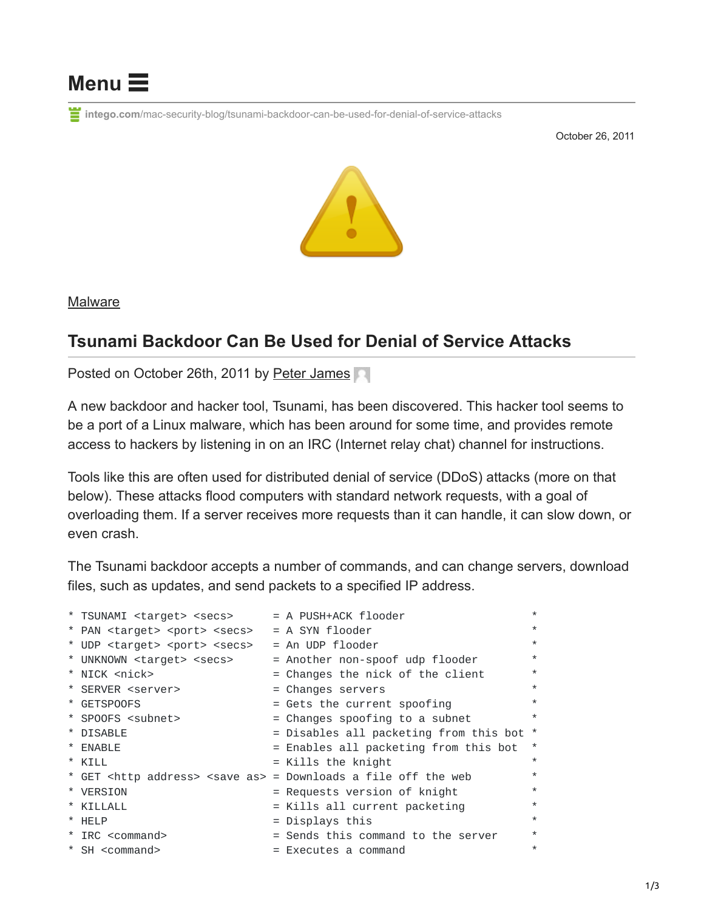

**intego.com**[/mac-security-blog/tsunami-backdoor-can-be-used-for-denial-of-service-attacks](https://www.intego.com/mac-security-blog/tsunami-backdoor-can-be-used-for-denial-of-service-attacks)

October 26, 2011



[Malware](https://www.intego.com/mac-security-blog/category/malware/)

## **Tsunami Backdoor Can Be Used for Denial of Service Attacks**

Posted on October 26th, 2011 by [Peter James](https://www.intego.com/mac-security-blog/author/peter/)

A new backdoor and hacker tool, Tsunami, has been discovered. This hacker tool seems to be a port of a Linux malware, which has been around for some time, and provides remote access to hackers by listening in on an IRC (Internet relay chat) channel for instructions.

Tools like this are often used for distributed denial of service (DDoS) attacks (more on that below). These attacks flood computers with standard network requests, with a goal of overloading them. If a server receives more requests than it can handle, it can slow down, or even crash.

The Tsunami backdoor accepts a number of commands, and can change servers, download files, such as updates, and send packets to a specified IP address.

| * TSUNAMI <target> <secs></secs></target>                                         | = A PUSH+ACK flooder                   | $\star$  |
|-----------------------------------------------------------------------------------|----------------------------------------|----------|
| * PAN <target> <port> <secs></secs></port></target>                               | $= A$ SYN flooder                      | $\star$  |
| * UDP <target> <port> <secs></secs></port></target>                               | $=$ An UDP flooder                     | $\star$  |
| * UNKNOWN <target> <secs></secs></target>                                         | = Another non-spoof udp flooder        | $\star$  |
| * NICK <nick></nick>                                                              | = Changes the nick of the client       | $\star$  |
| * SERVER <server></server>                                                        | = Changes servers                      | $\star$  |
| * GETSPOOFS                                                                       | = Gets the current spoofing            | $\star$  |
| * SPOOFS <subnet></subnet>                                                        | = Changes spoofing to a subnet         | $\star$  |
| * DISABLE                                                                         | = Disables all packeting from this bot | $^\star$ |
| * ENABLE                                                                          | = Enables all packeting from this bot  | $^\star$ |
| $*$ KTII                                                                          | $=$ Kills the knight                   | $\star$  |
| * GET <http address=""> <save as=""> = Downloads a file off the web</save></http> |                                        | $\star$  |
| * VERSION                                                                         | = Requests version of knight           | $\star$  |
| * KILLALL                                                                         | $=$ Kills all current packeting        | $\star$  |
| * HELP                                                                            | = Displays this                        | $\star$  |
| * IRC <command/>                                                                  | = Sends this command to the server     | $\star$  |
| * SH <command/>                                                                   | $=$ Executes a command                 | $\star$  |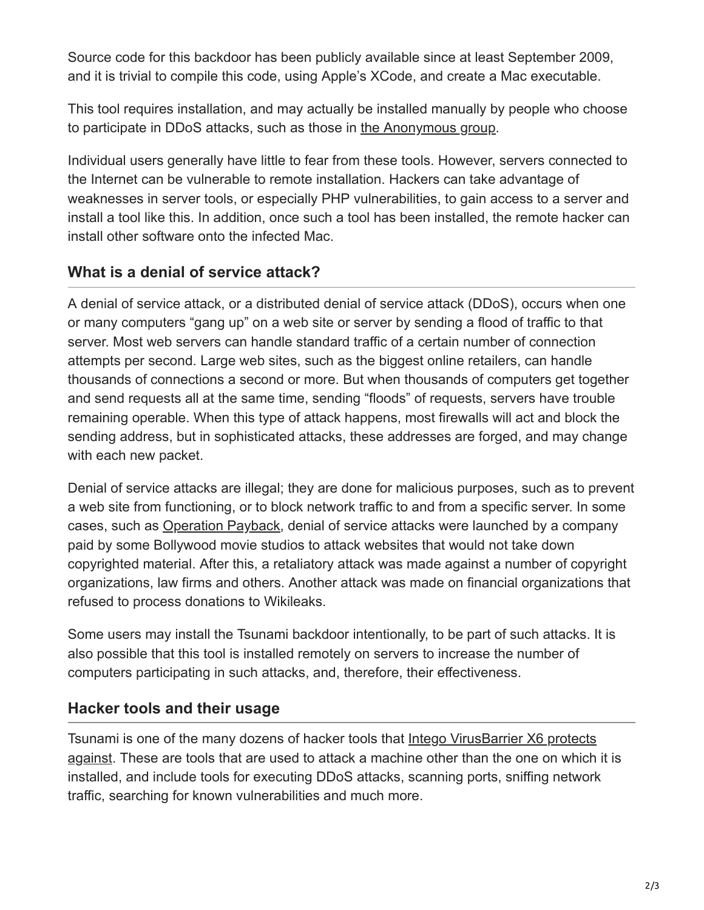Source code for this backdoor has been publicly available since at least September 2009, and it is trivial to compile this code, using Apple's XCode, and create a Mac executable.

This tool requires installation, and may actually be installed manually by people who choose to participate in DDoS attacks, such as those in [the Anonymous group](https://en.wikipedia.org/wiki/Anonymous_(group)).

Individual users generally have little to fear from these tools. However, servers connected to the Internet can be vulnerable to remote installation. Hackers can take advantage of weaknesses in server tools, or especially PHP vulnerabilities, to gain access to a server and install a tool like this. In addition, once such a tool has been installed, the remote hacker can install other software onto the infected Mac.

## **What is a denial of service attack?**

A denial of service attack, or a distributed denial of service attack (DDoS), occurs when one or many computers "gang up" on a web site or server by sending a flood of traffic to that server. Most web servers can handle standard traffic of a certain number of connection attempts per second. Large web sites, such as the biggest online retailers, can handle thousands of connections a second or more. But when thousands of computers get together and send requests all at the same time, sending "floods" of requests, servers have trouble remaining operable. When this type of attack happens, most firewalls will act and block the sending address, but in sophisticated attacks, these addresses are forged, and may change with each new packet.

Denial of service attacks are illegal; they are done for malicious purposes, such as to prevent a web site from functioning, or to block network traffic to and from a specific server. In some cases, such as [Operation Payback,](https://en.wikipedia.org/wiki/Operation_Payback) denial of service attacks were launched by a company paid by some Bollywood movie studios to attack websites that would not take down copyrighted material. After this, a retaliatory attack was made against a number of copyright organizations, law firms and others. Another attack was made on financial organizations that refused to process donations to Wikileaks.

Some users may install the Tsunami backdoor intentionally, to be part of such attacks. It is also possible that this tool is installed remotely on servers to increase the number of computers participating in such attacks, and, therefore, their effectiveness.

## **Hacker tools and their usage**

[Tsunami is one of the many dozens of hacker tools that Intego VirusBarrier X6 protects](https://www.intego.com/virusbarrier/) against. These are tools that are used to attack a machine other than the one on which it is installed, and include tools for executing DDoS attacks, scanning ports, sniffing network traffic, searching for known vulnerabilities and much more.